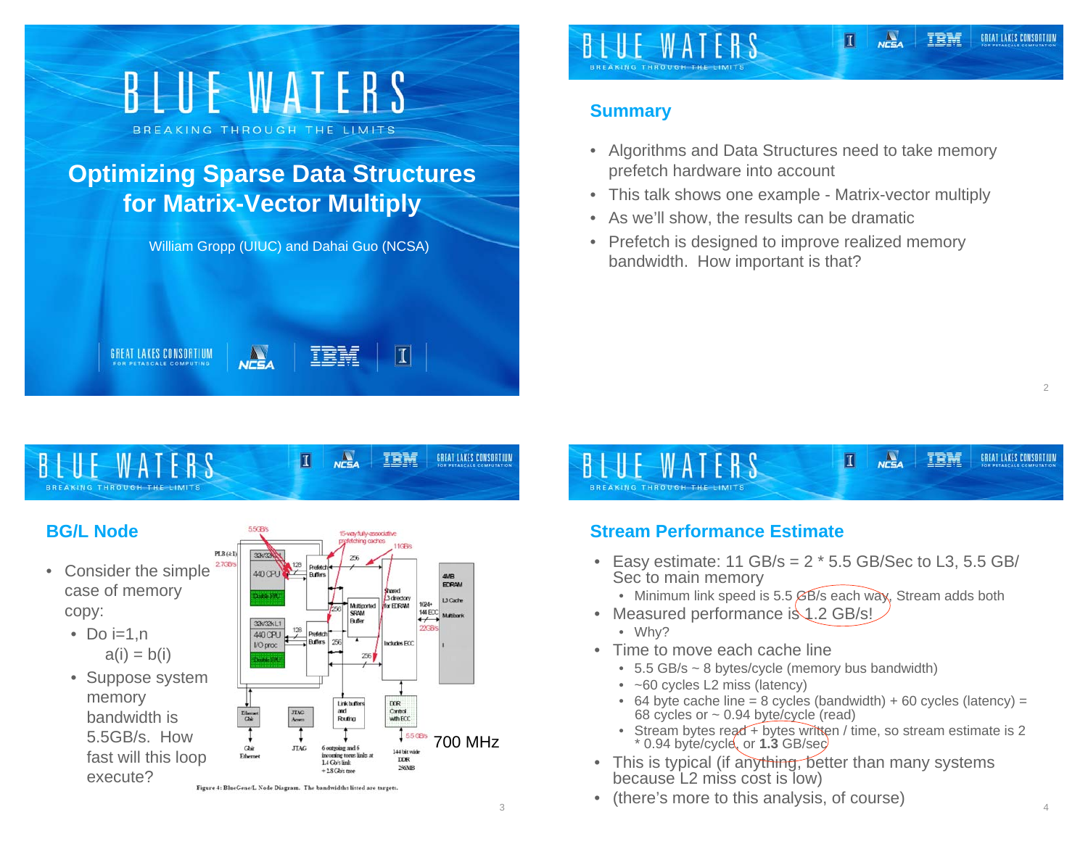# BLUE WATERS BREAKING THROUGH THE LIMITS **Optimizing Sparse Data Structures for Matrix-Vector Multiply**

William Gropp (UIUC) and Dahai Guo (NCSA)

**NCSA** 

**GREAT LAKES CONSORTIUM** 

IBM

 $\|I\|$ 

GREAT LAKES CONSORTIUM

#### TRM GREAT LAKES CONSORTIUN П

### **Summary**

- Algorithms and Data Structures need to take memory prefetch hardware into account
- •This talk shows one example - Matrix-vector multiply
- As we'll show, the results can be dramatic
- Prefetch is designed to improve realized memory bandwidth. How important is that?

#### $N<sub>CSA</sub>$ **TRM** П

# **BG/L Node**

- Consider the simple case of memory copy:
	- Do i=1,n  $a(i) = b(i)$
	- Figure 4: BlueGene/L Node Diagram. The bandwidths listed are targets. • Suppose system memory bandwidth is 5.5GB/s. How fast will this loop execute?





# **Stream Performance Estimate**

- Easy estimate: 11 GB/s = 2 \* 5.5 GB/Sec to L3, 5.5 GB/ Sec to main memory
	- Minimum link speed is 5.5 *G*B/s each way, Stream adds both
- Measured performance is 1.2 GB/s!
	- Why?
- Time to move each cache line
	- 5.5 GB/s ~ 8 bytes/cycle (memory bus bandwidth)
	- ~60 cycles L2 miss (latency)
	- 64 byte cache line = 8 cycles (bandwidth) + 60 cycles (latency) = 68 cycles or ~ 0.94 byte/cycle (read)
	- Stream bytes read + bytes written / time, so stream estimate is 2 \* 0.94 byte/cycle, or **1.3** GB/sec
- This is typical (if anything, better than many systems because L2 miss cost is low)
- (there's more to this analysis, of course)

 $\mathfrak{D}$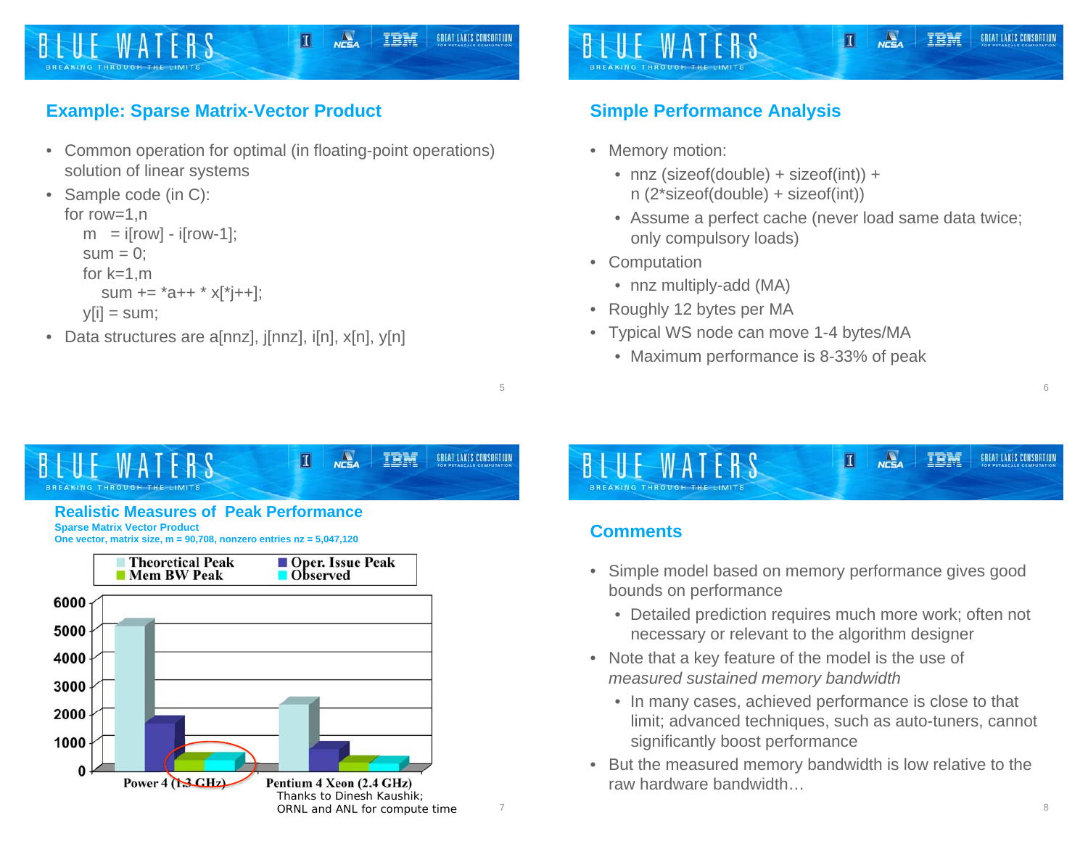

# **Example: Sparse Matrix-Vector Product**

• Common operation for optimal (in floating-point operations) solution of linear systems

```
• Sample code (in C): 
for row=1,n 
  m = i[row] - i[row-1];
  sum = 0:
  for k=1.m
     sum += *a++ * x[*j++];
  v[i] = sum;
```
• Data structures are a[nnz], j[nnz], i[n], x[n], y[n]

# **Simple Performance Analysis**

- Memory motion:
	- nnz (sizeof(double) + sizeof(int)) + n (2\*sizeof(double) + sizeof(int))
	- Assume a perfect cache (never load same data twice; only compulsory loads)

 $n = a$ 

П

TRM

GREAT LAKES CONSORTIUM

- Computation
	- nnz multiply-add (MA)
- Roughly 12 bytes per MA
- Typical WS node can move 1-4 bytes/MA
	- Maximum performance is 8-33% of peak





### **Comments**

5

- Simple model based on memory performance gives good bounds on performance
	- Detailed prediction requires much more work; often not necessary or relevant to the algorithm designer
- Note that a key feature of the model is the use of *measured sustained memory bandwidth*
	- In many cases, achieved performance is close to that limit; advanced techniques, such as auto-tuners, cannot significantly boost performance
- But the measured memory bandwidth is low relative to the raw hardware bandwidth…

6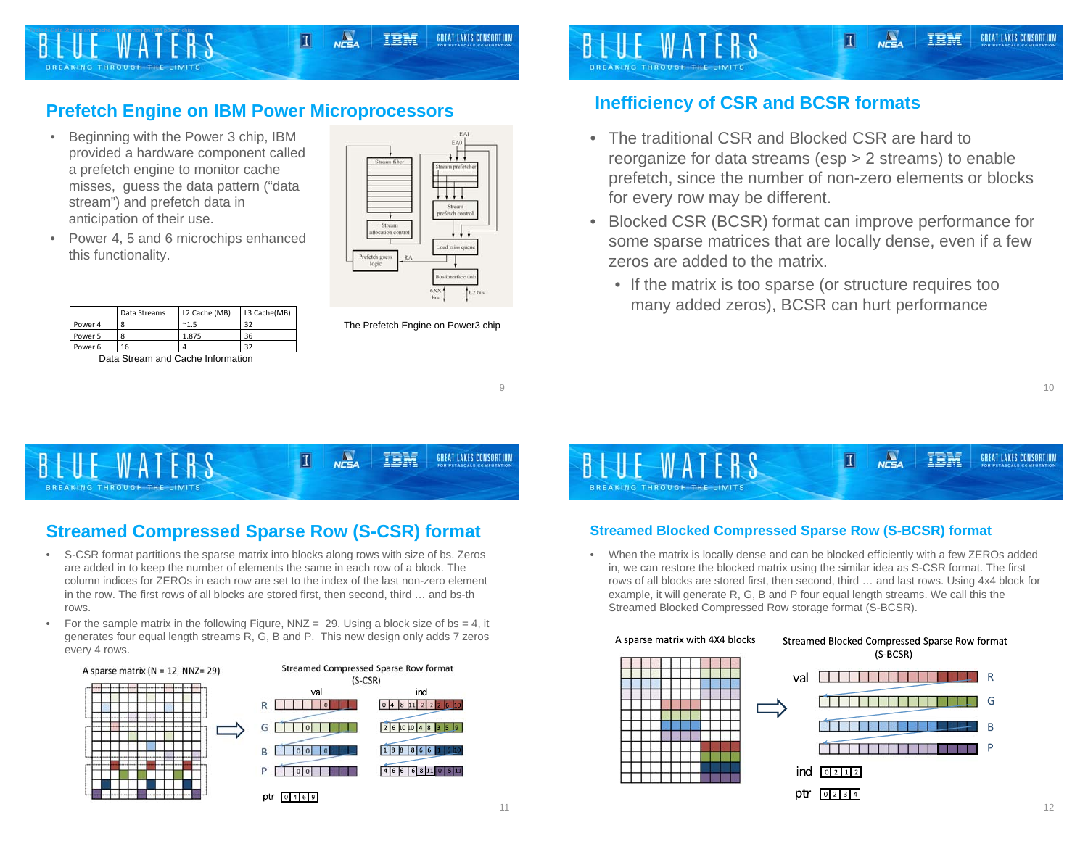# **Prefetch Engine on IBM Power Microprocessors**

- Beginning with the Power 3 chip, IBM provided a hardware component called a prefetch engine to monitor cache misses, guess the data pattern ("data stream") and prefetch data in anticipation of their use.
- • Power 4, 5 and 6 microchips enhanced this functionality.

|         | Data Streams | L2 Cache (MB) | L3 Cache(MB) |
|---------|--------------|---------------|--------------|
| Power 4 |              | $^{\sim}1.5$  | 32           |
| Power 5 | 8            | 1.875         | 36           |
| Power 6 | 16           |               | 32           |

Data Stream and Cache Information

melletels and

The Prefetch Engine on Power3 chip

9

#### **Inefficiency of CSR and BCSR formats**

**BREAKING THROUGH THE** 

• The traditional CSR and Blocked CSR are hard to reorganize for data streams (esp > 2 streams) to enable prefetch, since the number of non-zero elements or blocks for every row may be different.

Π

- Blocked CSR (BCSR) format can improve performance for some sparse matrices that are locally dense, even if a few zeros are added to the matrix.
	- If the matrix is too sparse (or structure requires too many added zeros), BCSR can hurt performance

 $\frac{\Delta}{\Delta t}$ GREAT LAKES CONSORTIUM TRE П W A BREAKING THROUGH THE LIMITS

# **Streamed Compressed Sparse Row (S-CSR) format**

- S-CSR format partitions the sparse matrix into blocks along rows with size of bs. Zeros are added in to keep the number of elements the same in each row of a block. The column indices for ZEROs in each row are set to the index of the last non-zero element in the row. The first rows of all blocks are stored first, then second, third … and bs-th rows.
- For the sample matrix in the following Figure, NNZ = 29. Using a block size of bs = 4, it generates four equal length streams R, G, B and P. This new design only adds 7 zeros every 4 rows.





#### **Streamed Blocked Compressed Sparse Row (S-BCSR) format**

• When the matrix is locally dense and can be blocked efficiently with a few ZEROs added in, we can restore the blocked matrix using the similar idea as S-CSR format. The first rows of all blocks are stored first, then second, third … and last rows. Using 4x4 block for example, it will generate R, G, B and P four equal length streams. We call this the Streamed Blocked Compressed Row storage format (S-BCSR).

#### A sparse matrix with 4X4 blocks







GREAT LAKES CONSORTIUM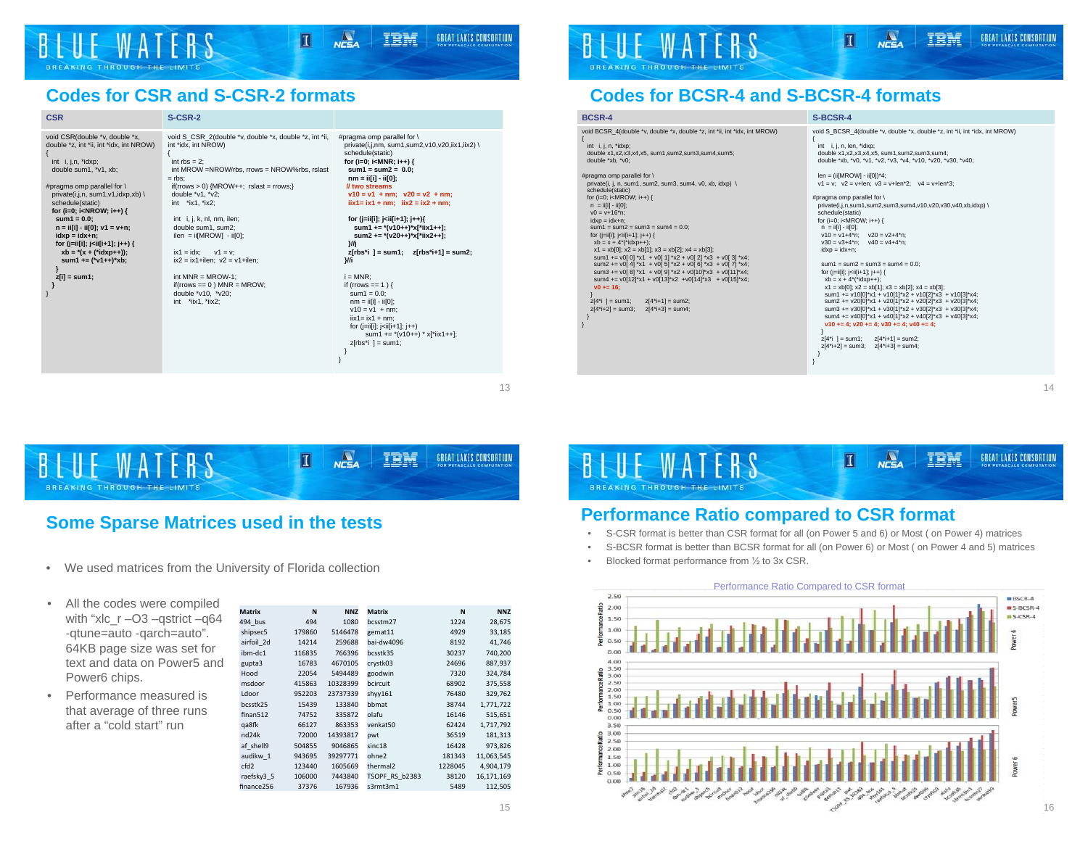# **Codes for CSR and S-CSR-2 formats**

| <b>CSR</b>                                                                                                                                                                                                                                                                                                                                                                                                                                                                                                                           | <b>S-CSR-2</b>                                                                                                                                                                                                                                                                                                                                                                                                                                                                                                     |                                                                                                                                                                                                                                                                                                                                                                                                                                                                                                                                                                                                                                                                                                                                                                                                                                                                                                                                                                                                                 |
|--------------------------------------------------------------------------------------------------------------------------------------------------------------------------------------------------------------------------------------------------------------------------------------------------------------------------------------------------------------------------------------------------------------------------------------------------------------------------------------------------------------------------------------|--------------------------------------------------------------------------------------------------------------------------------------------------------------------------------------------------------------------------------------------------------------------------------------------------------------------------------------------------------------------------------------------------------------------------------------------------------------------------------------------------------------------|-----------------------------------------------------------------------------------------------------------------------------------------------------------------------------------------------------------------------------------------------------------------------------------------------------------------------------------------------------------------------------------------------------------------------------------------------------------------------------------------------------------------------------------------------------------------------------------------------------------------------------------------------------------------------------------------------------------------------------------------------------------------------------------------------------------------------------------------------------------------------------------------------------------------------------------------------------------------------------------------------------------------|
| void CSR(double *v, double *x,<br>double *z. int *ii. int *idx. int NROW)<br>int i, j,n, *idxp;<br>double sum1, *v1, xb;<br>#pragma omp parallel for \<br>private(i,j,n, sum1,v1,idxp,xb) \<br>schedule(static)<br>for (i=0; i <nrow; i++)="" {<br=""><math>sum1 = 0.0</math>:<br/><math>n = ii[i] - ii[0]; v1 = v+n;</math><br/><math>idxp = idx + n;</math><br/>for (j=ii[i]; j<ii[i+1]; j++)="" {<br=""><math>xb = *(x + (*idxp++));</math><br/>sum1 += <math>(*v1++)*xb;</math><br/><math>z[i]</math> = sum1;</ii[i+1];></nrow;> | void S CSR 2(double *v, double *x, double *z, int *ii,<br>int *idx. int NROW)<br>int $rbs = 2$ ;<br>int MROW =NROW/rbs, rrows = NROW%rbs, rslast<br>$=$ rbs:<br>if(rrows $> 0$ ) {MROW++; rslast = rrows;}<br>double *v1, *v2;<br>int *ix1, *ix2;<br>int i, j, k, nl, nm, ilen;<br>double sum1, sum2;<br>$ilen = ii[MROW] - ii[0];$<br>$v1 = v$<br>$ix1 = idx$ :<br>$ix2 = ix1 + ilen$ ; $v2 = v1 + ilen$ ;<br>int $MNR = MROW-1$ ;<br>$if($ rrows == 0 $)$ MNR = MROW;<br>double *v10. *v20:<br>int *iix1, *iix2; | #pragma omp parallel for \<br>private(i,j,nm, sum1,sum2,v10,v20,iix1,iix2) \<br>schedule(static)<br>for (i=0; i <mnr; i++)="" {<br=""><math>sum1 = sum2 = 0.0</math>:<br/><math>nm = i[i] - i[i]</math><br/>// two streams<br/><math>v10 = v1 + nm</math>; <math>v20 = v2 + nm</math>;<br/><math>\text{ii} \times 1 = \text{i} \times 1 + \text{n}</math>m: <math>\text{ii} \times 2 = \text{i} \times 2 + \text{n}</math>m:<br/>for (j=ii[i]; j<ii[i+1]; j++){<br="">sum1 += <math>*(v10++)*x[*i]</math><br/>sum2 += <math>*(v20++)*x[*iix2++];</math><br/>λWi<br/><math>z</math>rbs<sup>*</sup>i 1 = sum1: <math>z</math>rbs<sup>*</sup>i+11 = sum2:<br/>M<sub>i</sub><br/><math>i = MNR</math>:<br/>if (rrows == 1) {<br/>sum<math>1 = 0.0</math>:<br/><math>nm = i[i] - i[0];</math><br/><math>v10 = v1 + nm</math>;<br/><math>\text{i}</math>ix1 = ix1 + nm:<br/>for <math>(i=i[i]; i\le i[i+1]; i++)</math><br/>sum1 += <math>*(v10++) * x[*i]</math><br/><math>z[rbs'i] = sum1;</math></ii[i+1];></mnr;> |



### **Codes for BCSR-4 and S-BCSR-4 formats**

#### **BCSR-4** S-BCSR-4

| void BCSR_4(double *v, double *x, double *z, int *ii, int *idx, int MROW)<br>int i, j, n, *idxp;<br>double x1.x2.x3.x4.x5. sum1.sum2.sum3.sum4.sum5:<br>double *xb. *v0: | void S_BCSR_4(double *v, double *x, double *z, int *ii, int *idx, int MROW)<br>int i, j, n, len, *idxp;<br>double x1,x2,x3,x4,x5, sum1,sum2,sum3,sum4;<br>double *xb, *v0, *v1, *v2, *v3, *v4, *v10, *v20, *v30, *v40; |
|--------------------------------------------------------------------------------------------------------------------------------------------------------------------------|------------------------------------------------------------------------------------------------------------------------------------------------------------------------------------------------------------------------|
| #pragma omp parallel for \                                                                                                                                               | $len = (ii[MROW] - ii[0])^*4;$                                                                                                                                                                                         |
| private(i, j, n, sum1, sum2, sum3, sum4, v0, xb, idxp) \<br>schedule(static)                                                                                             | $v1 = v$ : $v2 = v+len$ : $v3 = v+len*2$ : $v4 = v+len*3$ :                                                                                                                                                            |
| for (i=0; i <mrow; i++)="" th="" {<=""><th>#pragma omp parallel for \</th></mrow;>                                                                                       | #pragma omp parallel for \                                                                                                                                                                                             |
| $n = i[f] - i[f0]$ ;                                                                                                                                                     | private(i,j,n,sum1,sum2,sum3,sum4,v10,v20,v30,v40,xb,idxp) \                                                                                                                                                           |
| $v0 = v + 16$ *n:                                                                                                                                                        | schedule(static)                                                                                                                                                                                                       |
| $idxp = idx + n$ :                                                                                                                                                       | for $(i=0; i < MROW; i++)$ {                                                                                                                                                                                           |
| $sum1 = sum2 = sum3 = sum4 = 0.0$ :                                                                                                                                      | $n = i[f] - i[f0];$                                                                                                                                                                                                    |
| for ( $[i=i[i]; j< i[i[i+1]; i++)$ {                                                                                                                                     | $v10 = v1 + 4*n$ : $v20 = v2 + 4*n$ :                                                                                                                                                                                  |
| $xb = x + 4*(\text{right}) + 1$                                                                                                                                          | $v30 = v3 + 4*n$ :<br>$v40 = v4 + 4*n$ :                                                                                                                                                                               |
| $x1 = xb[0]; x2 = xb[1]; x3 = xb[2]; x4 = xb[3];$                                                                                                                        | $idxD = idx + n$ :                                                                                                                                                                                                     |
| sum1 += $v0[0]$ *x1 + $v0[1]$ *x2 + $v0[2]$ *x3 + $v0[3]$ *x4;                                                                                                           | $sum1 = sum2 = sum3 = sum4 = 0.0$ :                                                                                                                                                                                    |
| sum2 += $v0[4]$ *x1 + $v0[5]$ *x2 + $v0[6]$ *x3 + $v0[7]$ *x4;<br>sum3 += $v0[8]$ *x1 + $v0[9]$ *x2 + $v0[10]$ *x3 + $v0[11]$ *x4;                                       | for $(i=i[i]; j {$                                                                                                                                                                                                     |
| sum4 += $v0[12]*x1 + v0[13]*x2 + v0[14]*x3 + v0[15]*x4$ ;                                                                                                                | $xb = x + 4*(\text{"idxp++})$ ;                                                                                                                                                                                        |
| $v0 == 16$ :                                                                                                                                                             | $x1 = xb[0]; x2 = xb[1]; x3 = xb[2]; x4 = xb[3];$                                                                                                                                                                      |
|                                                                                                                                                                          | sum1 += v10[0]*x1 + v10[1]*x2 + v10[2]*x3 + v10[3]*x4;                                                                                                                                                                 |
| $z[4^*i] = sum1$ ;<br>$z[4^*+1] = \text{sum2}$                                                                                                                           | sum2 += $v20[0]*x1 + v20[1]*x2 + v20[2]*x3 + v20[3]*x4;$                                                                                                                                                               |
| $z[4^*+2] = \text{sum3}$<br>$z[4^*+3] = \text{sum4}$ :                                                                                                                   | sum3 += $v30[0]$ <sup>*</sup> x1 + $v30[1]$ <sup>*</sup> x2 + $v30[2]$ <sup>*</sup> x3 + $v30[3]$ <sup>*</sup> x4:                                                                                                     |
|                                                                                                                                                                          | sum4 += $v40[0]$ *x1 + $v40[1]$ *x2 + $v40[2]$ *x3 + $v40[3]$ *x4;                                                                                                                                                     |
|                                                                                                                                                                          | $v10 == 4$ : $v20 += 4$ : $v30 += 4$ : $v40 += 4$ :                                                                                                                                                                    |
|                                                                                                                                                                          |                                                                                                                                                                                                                        |
|                                                                                                                                                                          | $z[4^*i] = sum1; z[4^*i+1] = sum2;$                                                                                                                                                                                    |
|                                                                                                                                                                          | $z[4^*+2]$ = sum3; $z[4^*+3]$ = sum4;                                                                                                                                                                                  |



#### **Some Sparse Matrices used in the tests**

- •We used matrices from the University of Florida collection
- All the codes were compiled with "xlc\_r –O3 –qstrict –q64 -qtune=auto -qarch=auto". 64KB page size was set for text and data on Power5 and Power6 chips.
- • Performance measured is that average of three runs after a "cold start" run

| <b>Matrix</b>      | N      | <b>NNZ</b> | <b>Matrix</b>        | N       | <b>NNZ</b> |
|--------------------|--------|------------|----------------------|---------|------------|
| 494 bus            | 494    | 1080       | bcsstm27             | 1224    | 28,675     |
| shipsec5           | 179860 | 5146478    | gemat11              | 4929    | 33,185     |
| airfoil 2d         | 14214  | 259688     | bai-dw4096           | 8192    | 41,746     |
| ibm-dc1            | 116835 | 766396     | bcsstk35             | 30237   | 740,200    |
| gupta3             | 16783  | 4670105    | crystk03             | 24696   | 887,937    |
| Hood               | 22054  | 5494489    | goodwin              | 7320    | 324,784    |
| msdoor             | 415863 | 10328399   | bcircuit             | 68902   | 375,558    |
| Ldoor              | 952203 | 23737339   | shyy161              | 76480   | 329,762    |
| bcsstk25           | 15439  | 133840     | bbmat                | 38744   | 1,771,722  |
| finan512           | 74752  | 335872     | olafu                | 16146   | 515,651    |
| qa8fk              | 66127  | 863353     | venkat50             | 62424   | 1,717,792  |
| nd <sub>24</sub> k | 72000  | 14393817   | pwt                  | 36519   | 181,313    |
| af shell9          | 504855 | 9046865    | sinc18               | 16428   | 973,826    |
| audikw 1           | 943695 | 39297771   | ohne2                | 181343  | 11,063,545 |
| cfd <sub>2</sub>   | 123440 | 1605669    | thermal <sub>2</sub> | 1228045 | 4,904,179  |
| raefsky3 5         | 106000 | 7443840    | TSOPF RS b2383       | 38120   | 16,171,169 |
| finance256         | 37376  | 167936     | s3rmt3m1             | 5489    | 112,505    |



 } }

#### **Performance Ratio compared to CSR format**

- S-CSR format is better than CSR format for all (on Power 5 and 6) or Most ( on Power 4) matrices
- •S-BCSR format is better than BCSR format for all (on Power 6) or Most ( on Power 4 and 5) matrices
- •Blocked format performance from  $\frac{1}{2}$  to 3x CSR.



13

GREAT LAKES CONSORTIUM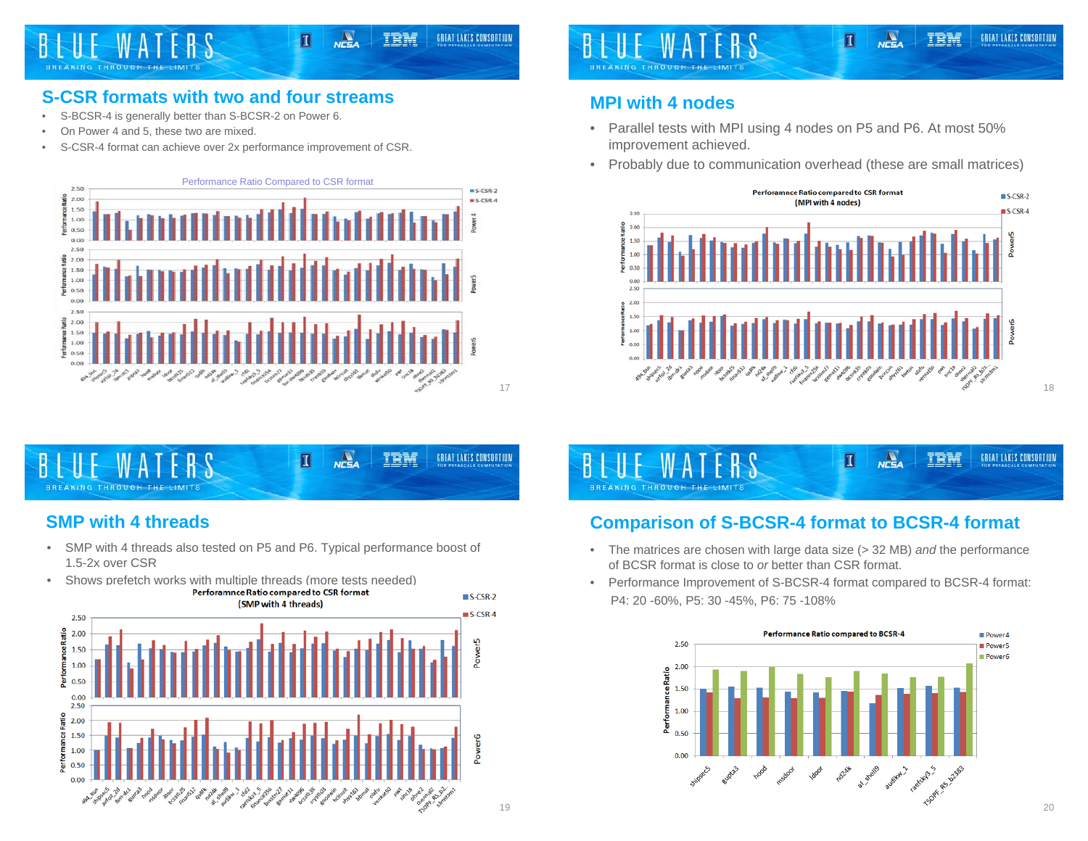

# **S-CSR formats with two and four streams**

- S-BCSR-4 is generally better than S-BCSR-2 on Power 6.
- •On Power 4 and 5, these two are mixed.
- •S-CSR-4 format can achieve over 2x performance improvement of CSR.





# **SMP with 4 threads**

• SMP with 4 threads also tested on P5 and P6. Typical performance boost of 1.5-2x over CSR





# **MPI with 4 nodes**

- Parallel tests with MPI using 4 nodes on P5 and P6. At most 50% improvement achieved.
- Probably due to communication overhead (these are small matrices)



 $N<sub>CSA</sub>$ IBM  $\blacksquare$ GREAT LAKES CONSORTIUM BREAKING THROUGH THE LIMITS

# **Comparison of S-BCSR-4 format to BCSR-4 format**

- The matrices are chosen with large data size (> 32 MB) *and* the performance of BCSR format is close to *or* better than CSR format.
- Performance Improvement of S-BCSR-4 format compared to BCSR-4 format: P4: 20 -60%, P5: 30 -45%, P6: 75 -108%

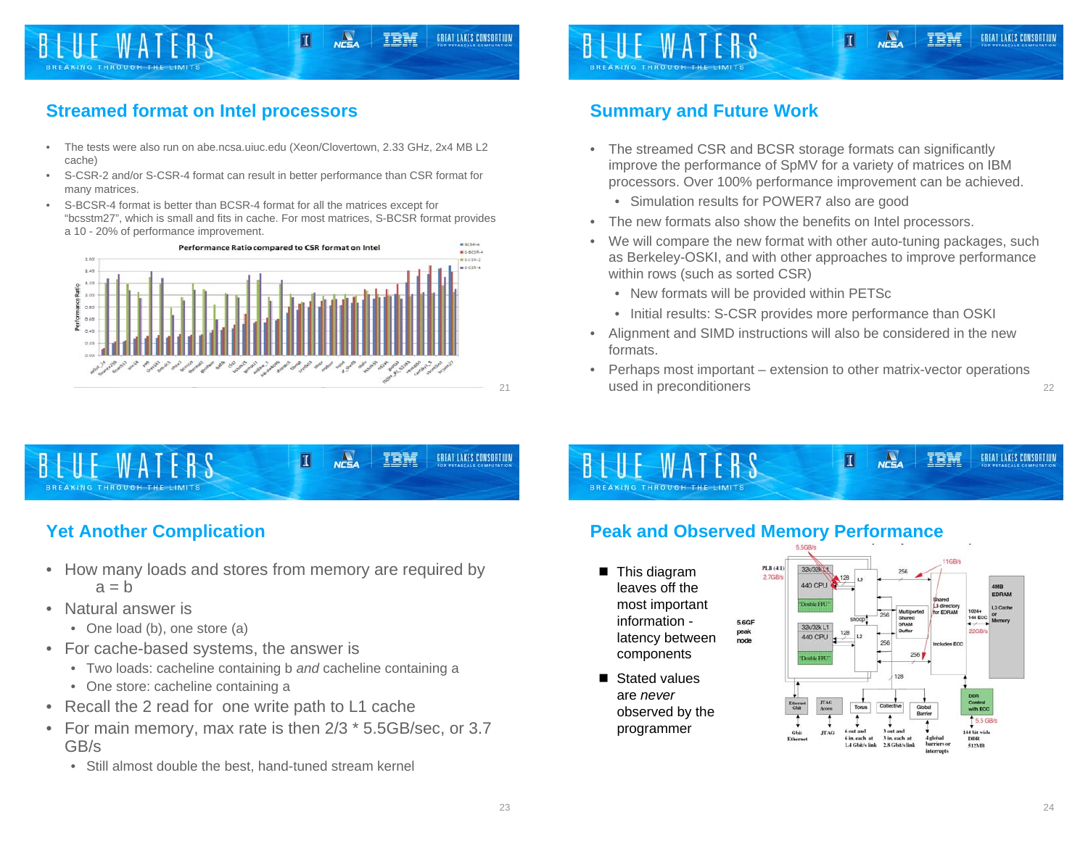

# **Streamed format on Intel processors**

- • The tests were also run on abe.ncsa.uiuc.edu (Xeon/Clovertown, 2.33 GHz, 2x4 MB L2 cache)
- • S-CSR-2 and/or S-CSR-4 format can result in better performance than CSR format for many matrices.
- S-BCSR-4 format is better than BCSR-4 format for all the matrices except for "bcsstm27", which is small and fits in cache. For most matrices, S-BCSR format provides a 10 - 20% of performance improvement.





### **Yet Another Complication**

- How many loads and stores from memory are required by  $a = b$
- Natural answer is
	- One load (b), one store (a)
- For cache-based systems, the answer is
	- Two loads: cacheline containing b *and* cacheline containing a
	- One store: cacheline containing a
- Recall the 2 read for one write path to L1 cache
- For main memory, max rate is then 2/3 \* 5.5GB/sec, or 3.7 GB/s
	- Still almost double the best, hand-tuned stream kernel

### **Summary and Future Work**

• The streamed CSR and BCSR storage formats can significantly improve the performance of SpMV for a variety of matrices on IBM processors. Over 100% performance improvement can be achieved.

П

TRN

GREAT LAKES CONSORTIUM

- Simulation results for POWER7 also are good
- •The new formats also show the benefits on Intel processors.
- We will compare the new format with other auto-tuning packages, such as Berkeley-OSKI, and with other approaches to improve performance within rows (such as sorted CSR)
	- New formats will be provided within PETSc
	- Initial results: S-CSR provides more performance than OSKI
- Alignment and SIMD instructions will also be considered in the new formats.
- Perhaps most important extension to other matrix-vector operations used in preconditioners

### **Peak and Observed Memory Performance**

- **This diagram** leaves off the most important information - 5.6GF peak latency between node components
- Stated values are *never* observed by the programmer



 $n \frac{\Delta}{\Delta}$ 

П

TRM

21

22

GREAT LAKES CONSORTIUM